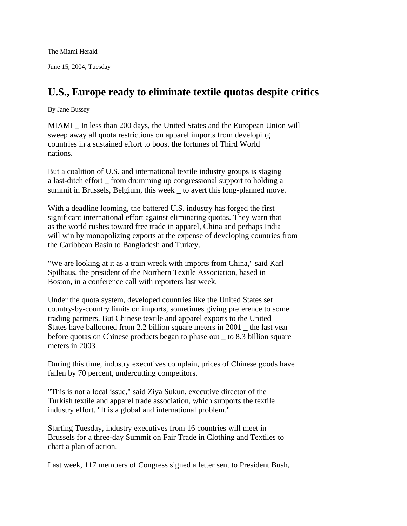The Miami Herald

June 15, 2004, Tuesday

## **U.S., Europe ready to eliminate textile quotas despite critics**

By Jane Bussey

MIAMI \_ In less than 200 days, the United States and the European Union will sweep away all quota restrictions on apparel imports from developing countries in a sustained effort to boost the fortunes of Third World nations.

But a coalition of U.S. and international textile industry groups is staging a last-ditch effort \_ from drumming up congressional support to holding a summit in Brussels, Belgium, this week \_ to avert this long-planned move.

With a deadline looming, the battered U.S. industry has forged the first significant international effort against eliminating quotas. They warn that as the world rushes toward free trade in apparel, China and perhaps India will win by monopolizing exports at the expense of developing countries from the Caribbean Basin to Bangladesh and Turkey.

"We are looking at it as a train wreck with imports from China," said Karl Spilhaus, the president of the Northern Textile Association, based in Boston, in a conference call with reporters last week.

Under the quota system, developed countries like the United States set country-by-country limits on imports, sometimes giving preference to some trading partners. But Chinese textile and apparel exports to the United States have ballooned from 2.2 billion square meters in 2001 \_ the last year before quotas on Chinese products began to phase out \_ to 8.3 billion square meters in 2003.

During this time, industry executives complain, prices of Chinese goods have fallen by 70 percent, undercutting competitors.

"This is not a local issue," said Ziya Sukun, executive director of the Turkish textile and apparel trade association, which supports the textile industry effort. "It is a global and international problem."

Starting Tuesday, industry executives from 16 countries will meet in Brussels for a three-day Summit on Fair Trade in Clothing and Textiles to chart a plan of action.

Last week, 117 members of Congress signed a letter sent to President Bush,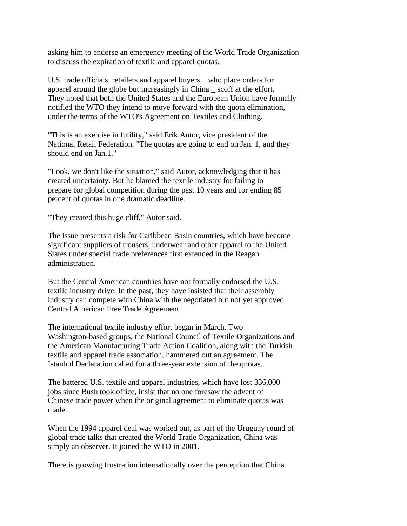asking him to endorse an emergency meeting of the World Trade Organization to discuss the expiration of textile and apparel quotas.

U.S. trade officials, retailers and apparel buyers \_ who place orders for apparel around the globe but increasingly in China \_ scoff at the effort. They noted that both the United States and the European Union have formally notified the WTO they intend to move forward with the quota elimination, under the terms of the WTO's Agreement on Textiles and Clothing.

"This is an exercise in futility," said Erik Autor, vice president of the National Retail Federation. "The quotas are going to end on Jan. 1, and they should end on Jan.1."

"Look, we don't like the situation," said Autor, acknowledging that it has created uncertainty. But he blamed the textile industry for failing to prepare for global competition during the past 10 years and for ending 85 percent of quotas in one dramatic deadline.

"They created this huge cliff," Autor said.

The issue presents a risk for Caribbean Basin countries, which have become significant suppliers of trousers, underwear and other apparel to the United States under special trade preferences first extended in the Reagan administration.

But the Central American countries have not formally endorsed the U.S. textile industry drive. In the past, they have insisted that their assembly industry can compete with China with the negotiated but not yet approved Central American Free Trade Agreement.

The international textile industry effort began in March. Two Washington-based groups, the National Council of Textile Organizations and the American Manufacturing Trade Action Coalition, along with the Turkish textile and apparel trade association, hammered out an agreement. The Istanbul Declaration called for a three-year extension of the quotas.

The battered U.S. textile and apparel industries, which have lost 336,000 jobs since Bush took office, insist that no one foresaw the advent of Chinese trade power when the original agreement to eliminate quotas was made.

When the 1994 apparel deal was worked out, as part of the Uruguay round of global trade talks that created the World Trade Organization, China was simply an observer. It joined the WTO in 2001.

There is growing frustration internationally over the perception that China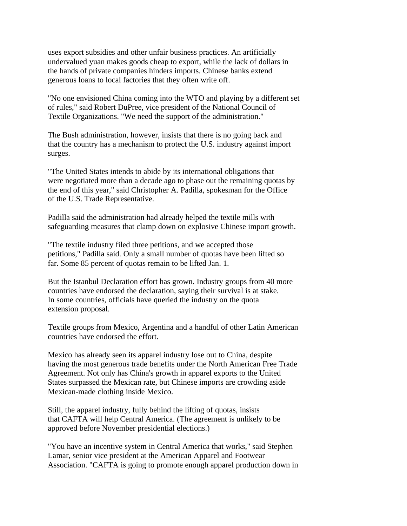uses export subsidies and other unfair business practices. An artificially undervalued yuan makes goods cheap to export, while the lack of dollars in the hands of private companies hinders imports. Chinese banks extend generous loans to local factories that they often write off.

"No one envisioned China coming into the WTO and playing by a different set of rules," said Robert DuPree, vice president of the National Council of Textile Organizations. "We need the support of the administration."

The Bush administration, however, insists that there is no going back and that the country has a mechanism to protect the U.S. industry against import surges.

"The United States intends to abide by its international obligations that were negotiated more than a decade ago to phase out the remaining quotas by the end of this year," said Christopher A. Padilla, spokesman for the Office of the U.S. Trade Representative.

Padilla said the administration had already helped the textile mills with safeguarding measures that clamp down on explosive Chinese import growth.

"The textile industry filed three petitions, and we accepted those petitions," Padilla said. Only a small number of quotas have been lifted so far. Some 85 percent of quotas remain to be lifted Jan. 1.

But the Istanbul Declaration effort has grown. Industry groups from 40 more countries have endorsed the declaration, saying their survival is at stake. In some countries, officials have queried the industry on the quota extension proposal.

Textile groups from Mexico, Argentina and a handful of other Latin American countries have endorsed the effort.

Mexico has already seen its apparel industry lose out to China, despite having the most generous trade benefits under the North American Free Trade Agreement. Not only has China's growth in apparel exports to the United States surpassed the Mexican rate, but Chinese imports are crowding aside Mexican-made clothing inside Mexico.

Still, the apparel industry, fully behind the lifting of quotas, insists that CAFTA will help Central America. (The agreement is unlikely to be approved before November presidential elections.)

"You have an incentive system in Central America that works," said Stephen Lamar, senior vice president at the American Apparel and Footwear Association. "CAFTA is going to promote enough apparel production down in